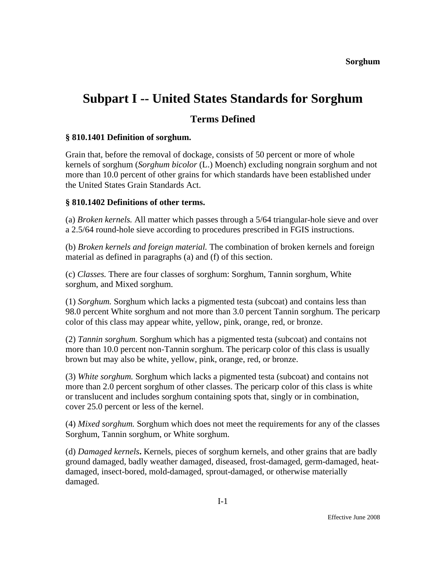# **Subpart I -- United States Standards for Sorghum**

## **Terms Defined**

#### **§ 810.1401 Definition of sorghum.**

Grain that, before the removal of dockage, consists of 50 percent or more of whole kernels of sorghum (*Sorghum bicolor* (L.) Moench) excluding nongrain sorghum and not more than 10.0 percent of other grains for which standards have been established under the United States Grain Standards Act.

#### **§ 810.1402 Definitions of other terms.**

(a) *Broken kernels.* All matter which passes through a 5/64 triangular-hole sieve and over a 2.5/64 round-hole sieve according to procedures prescribed in FGIS instructions.

(b) *Broken kernels and foreign material.* The combination of broken kernels and foreign material as defined in paragraphs (a) and (f) of this section.

(c) *Classes.* There are four classes of sorghum: Sorghum, Tannin sorghum, White sorghum, and Mixed sorghum.

(1) *Sorghum.* Sorghum which lacks a pigmented testa (subcoat) and contains less than 98.0 percent White sorghum and not more than 3.0 percent Tannin sorghum. The pericarp color of this class may appear white, yellow, pink, orange, red, or bronze.

(2) *Tannin sorghum.* Sorghum which has a pigmented testa (subcoat) and contains not more than 10.0 percent non-Tannin sorghum. The pericarp color of this class is usually brown but may also be white, yellow, pink, orange, red, or bronze.

(3) *White sorghum.* Sorghum which lacks a pigmented testa (subcoat) and contains not more than 2.0 percent sorghum of other classes. The pericarp color of this class is white or translucent and includes sorghum containing spots that, singly or in combination, cover 25.0 percent or less of the kernel.

(4) *Mixed sorghum.* Sorghum which does not meet the requirements for any of the classes Sorghum, Tannin sorghum, or White sorghum.

(d) *Damaged kernels***.** Kernels, pieces of sorghum kernels, and other grains that are badly ground damaged, badly weather damaged, diseased, frost-damaged, germ-damaged, heatdamaged, insect-bored, mold-damaged, sprout-damaged, or otherwise materially damaged.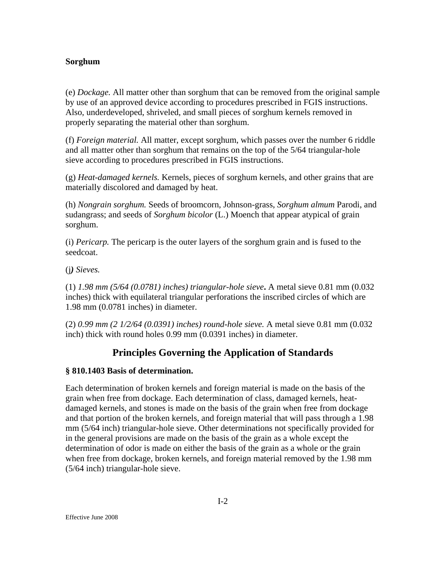#### **Sorghum**

(e) *Dockage.* All matter other than sorghum that can be removed from the original sample by use of an approved device according to procedures prescribed in FGIS instructions. Also, underdeveloped, shriveled, and small pieces of sorghum kernels removed in properly separating the material other than sorghum.

(f) *Foreign material.* All matter, except sorghum, which passes over the number 6 riddle and all matter other than sorghum that remains on the top of the 5/64 triangular-hole sieve according to procedures prescribed in FGIS instructions.

(g) *Heat-damaged kernels.* Kernels, pieces of sorghum kernels, and other grains that are materially discolored and damaged by heat.

(h) *Nongrain sorghum.* Seeds of broomcorn, Johnson-grass, *Sorghum almum* Parodi, and sudangrass; and seeds of *Sorghum bicolor* (L.) Moench that appear atypical of grain sorghum.

(i) *Pericarp.* The pericarp is the outer layers of the sorghum grain and is fused to the seedcoat.

(j*) Sieves.* 

(1) *1.98 mm (5/64 (0.0781) inches) triangular-hole sieve***.** A metal sieve 0.81 mm (0.032 inches) thick with equilateral triangular perforations the inscribed circles of which are 1.98 mm (0.0781 inches) in diameter.

(2) *0.99 mm (2 1/2/64 (0.0391) inches) round-hole sieve.* A metal sieve 0.81 mm (0.032 inch) thick with round holes 0.99 mm (0.0391 inches) in diameter.

## **Principles Governing the Application of Standards**

#### **§ 810.1403 Basis of determination.**

Each determination of broken kernels and foreign material is made on the basis of the grain when free from dockage. Each determination of class, damaged kernels, heatdamaged kernels, and stones is made on the basis of the grain when free from dockage and that portion of the broken kernels, and foreign material that will pass through a 1.98 mm (5/64 inch) triangular-hole sieve. Other determinations not specifically provided for in the general provisions are made on the basis of the grain as a whole except the determination of odor is made on either the basis of the grain as a whole or the grain when free from dockage, broken kernels, and foreign material removed by the 1.98 mm (5/64 inch) triangular-hole sieve.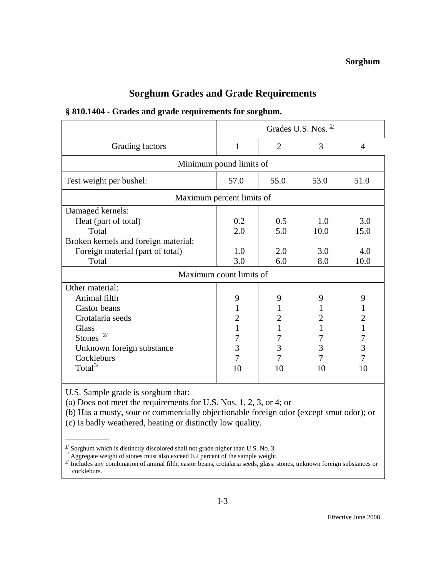# **Sorghum Grades and Grade Requirements**

| § 810.1404 - Grades and grade requirements for sorghum. |  |
|---------------------------------------------------------|--|
|---------------------------------------------------------|--|

|                                      | Grades U.S. Nos. $\frac{1}{2}$ |                |                |                |
|--------------------------------------|--------------------------------|----------------|----------------|----------------|
| Grading factors                      | 1                              | $\overline{2}$ | 3              | $\overline{A}$ |
| Minimum pound limits of              |                                |                |                |                |
| Test weight per bushel:              | 57.0                           | 55.0           | 53.0           | 51.0           |
| Maximum percent limits of            |                                |                |                |                |
| Damaged kernels:                     |                                |                |                |                |
| Heat (part of total)                 | 0.2                            | 0.5            | 1.0            | 3.0            |
| Total                                | 2.0                            | 5.0            | 10.0           | 15.0           |
| Broken kernels and foreign material: |                                |                |                |                |
| Foreign material (part of total)     | 1.0                            | 2.0            | 3.0            | 4.0            |
| Total                                | 3.0                            | 6.0            | 8.0            | 10.0           |
| Maximum count limits of              |                                |                |                |                |
| Other material:                      |                                |                |                |                |
| Animal filth                         | 9                              | 9              | 9              | 9              |
| <b>Castor</b> beans                  | $\mathbf{1}$                   | 1              | 1              | $\mathbf{1}$   |
| Crotalaria seeds                     | $\overline{2}$                 | $\overline{2}$ | $\overline{2}$ | $\overline{2}$ |
| <b>Glass</b>                         | 1                              | 1              | $\mathbf{1}$   | $\mathbf{1}$   |
| Stones $\frac{2}{2}$                 | 7                              | 7              | 7              | $\overline{7}$ |
| Unknown foreign substance            | 3                              | 3              | 3              | $\overline{3}$ |
| Cockleburs                           | 7                              | 7              | 7              | 7              |
| Total $^{3/2}$                       | 10                             | 10             | 10             | 10             |
|                                      |                                |                |                |                |

U.S. Sample grade is sorghum that:

 $\overline{\phantom{a}}$ 

(a) Does not meet the requirements for U.S. Nos. 1, 2, 3, or 4; or

(b) Has a musty, sour or commercially objectionable foreign odor (except smut odor); or

(c) Is badly weathered, heating or distinctly low quality.

<sup>&</sup>lt;sup>1/</sup> Sorghum which is distinctly discolored shall not grade higher than U.S. No. 3.<br><sup>2/</sup> Aggregate upicht of stones must also avegad 0.2 percent of the sample upicht.

 $\frac{d}{dx}$  Aggregate weight of stones must also exceed 0.2 percent of the sample weight.

 $\frac{3}{2}$  Includes any combination of animal filth, castor beans, crotalaria seeds, glass, stones, unknown foreign substances or cockleburs.